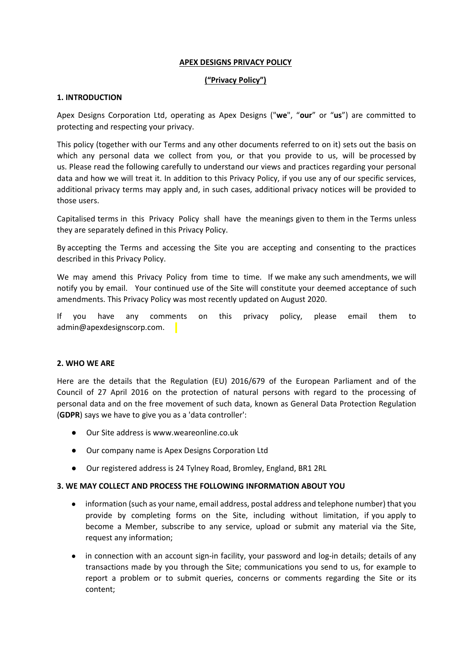## **APEX DESIGNS PRIVACY POLICY**

# **("Privacy Policy")**

## **1. INTRODUCTION**

Apex Designs Corporation Ltd, operating as Apex Designs ("**we**", "**our**" or "**us**") are committed to protecting and respecting your privacy.

This policy (together with our Terms and any other documents referred to on it) sets out the basis on which any personal data we collect from you, or that you provide to us, will be processed by us. Please read the following carefully to understand our views and practices regarding your personal data and how we will treat it. In addition to this Privacy Policy, if you use any of our specific services, additional privacy terms may apply and, in such cases, additional privacy notices will be provided to those users.

Capitalised terms in this Privacy Policy shall have the meanings given to them in the Terms unless they are separately defined in this Privacy Policy.

By accepting the Terms and accessing the Site you are accepting and consenting to the practices described in this Privacy Policy.

We may amend this Privacy Policy from time to time. If we make any such amendments, we will notify you by email. Your continued use of the Site will constitute your deemed acceptance of such amendments. This Privacy Policy was most recently updated on August 2020.

If you have any comments on this privacy policy, please email them to admin@apexdesignscorp.com.

## **2. WHO WE ARE**

Here are the details that the Regulation (EU) 2016/679 of the European Parliament and of the Council of 27 April 2016 on the protection of natural persons with regard to the processing of personal data and on the free movement of such data, known as General Data Protection Regulation (**GDPR**) says we have to give you as a 'data controller':

- Our Site address is www.weareonline.co.uk
- Our company name is Apex Designs Corporation Ltd
- Our registered address is 24 Tylney Road, Bromley, England, BR1 2RL

## **3. WE MAY COLLECT AND PROCESS THE FOLLOWING INFORMATION ABOUT YOU**

- information (such as your name, email address, postal address and telephone number) that you provide by completing forms on the Site, including without limitation, if you apply to become a Member, subscribe to any service, upload or submit any material via the Site, request any information;
- in connection with an account sign-in facility, your password and log-in details; details of any transactions made by you through the Site; communications you send to us, for example to report a problem or to submit queries, concerns or comments regarding the Site or its content;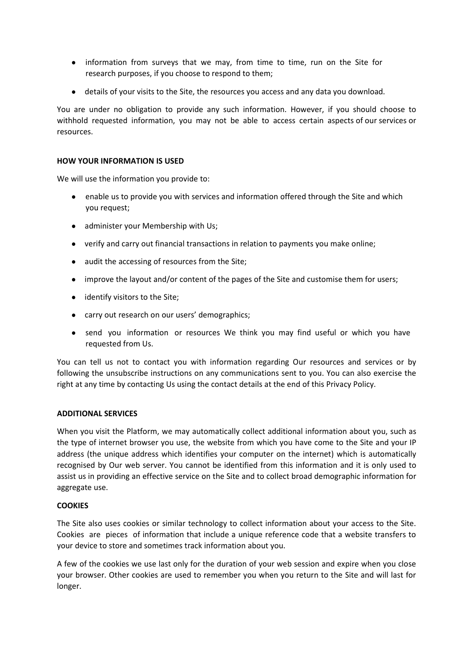- information from surveys that we may, from time to time, run on the Site for research purposes, if you choose to respond to them;
- details of your visits to the Site, the resources you access and any data you download.

You are under no obligation to provide any such information. However, if you should choose to withhold requested information, you may not be able to access certain aspects of our services or resources.

## **HOW YOUR INFORMATION IS USED**

We will use the information you provide to:

- enable us to provide you with services and information offered through the Site and which you request;
- administer your Membership with Us;
- verify and carry out financial transactions in relation to payments you make online;
- audit the accessing of resources from the Site;
- improve the layout and/or content of the pages of the Site and customise them for users;
- identify visitors to the Site;
- carry out research on our users' demographics;
- send you information or resources We think you may find useful or which you have requested from Us.

You can tell us not to contact you with information regarding Our resources and services or by following the unsubscribe instructions on any communications sent to you. You can also exercise the right at any time by contacting Us using the contact details at the end of this Privacy Policy.

## **ADDITIONAL SERVICES**

When you visit the Platform, we may automatically collect additional information about you, such as the type of internet browser you use, the website from which you have come to the Site and your IP address (the unique address which identifies your computer on the internet) which is automatically recognised by Our web server. You cannot be identified from this information and it is only used to assist us in providing an effective service on the Site and to collect broad demographic information for aggregate use.

## **COOKIES**

The Site also uses cookies or similar technology to collect information about your access to the Site. Cookies are pieces of information that include a unique reference code that a website transfers to your device to store and sometimes track information about you.

A few of the cookies we use last only for the duration of your web session and expire when you close your browser. Other cookies are used to remember you when you return to the Site and will last for longer.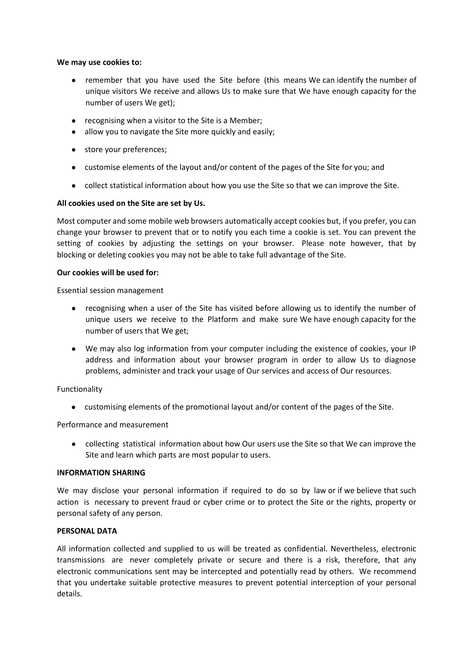### **We may use cookies to:**

- remember that you have used the Site before (this means We can identify the number of unique visitors We receive and allows Us to make sure that We have enough capacity for the number of users We get);
- recognising when a visitor to the Site is a Member;
- allow you to navigate the Site more quickly and easily;
- store your preferences;
- customise elements of the layout and/or content of the pages of the Site for you; and
- collect statistical information about how you use the Site so that we can improve the Site.

## **All cookies used on the Site are set by Us.**

Most computer and some mobile web browsers automatically accept cookies but, if you prefer, you can change your browser to prevent that or to notify you each time a cookie is set. You can prevent the setting of cookies by adjusting the settings on your browser. Please note however, that by blocking or deleting cookies you may not be able to take full advantage of the Site.

### **Our cookies will be used for:**

Essential session management

- recognising when a user of the Site has visited before allowing us to identify the number of unique users we receive to the Platform and make sure We have enough capacity for the number of users that We get;
- We may also log information from your computer including the existence of cookies, your IP address and information about your browser program in order to allow Us to diagnose problems, administer and track your usage of Our services and access of Our resources.

#### Functionality

● customising elements of the promotional layout and/or content of the pages of the Site.

## Performance and measurement

● collecting statistical information about how Our users use the Site so that We can improve the Site and learn which parts are most popular to users.

#### **INFORMATION SHARING**

We may disclose your personal information if required to do so by law or if we believe that such action is necessary to prevent fraud or cyber crime or to protect the Site or the rights, property or personal safety of any person.

#### **PERSONAL DATA**

All information collected and supplied to us will be treated as confidential. Nevertheless, electronic transmissions are never completely private or secure and there is a risk, therefore, that any electronic communications sent may be intercepted and potentially read by others. We recommend that you undertake suitable protective measures to prevent potential interception of your personal details.